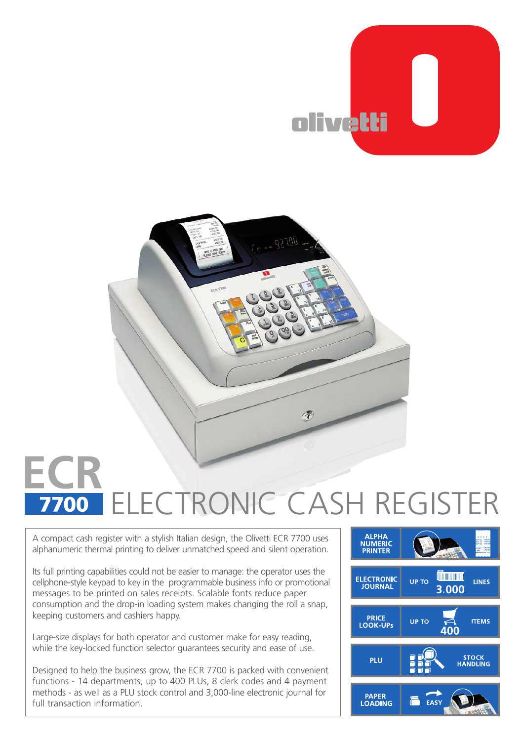



## ELECTRONIC CASH REGISTER7700

A compact cash register with a stylish Italian design, the Olivetti ECR 7700 uses alphanumeric thermal printing to deliver unmatched speed and silent operation.

Its full printing capabilities could not be easier to manage: the operator uses the cellphone-style keypad to key in the programmable business info or promotional messages to be printed on sales receipts. Scalable fonts reduce paper consumption and the drop-in loading system makes changing the roll a snap, keeping customers and cashiers happy.

Large-size displays for both operator and customer make for easy reading, while the key-locked function selector guarantees security and ease of use.

Designed to help the business grow, the ECR 7700 is packed with convenient functions - 14 departments, up to 400 PLUs, 8 clerk codes and 4 payment methods - as well as a PLU stock control and 3,000-line electronic journal for full transaction information.